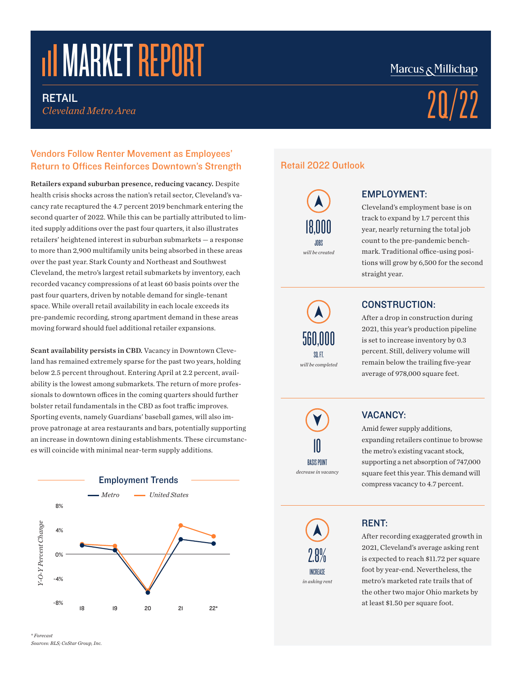# **THE MARKET REPORT**

*Cleveland Metro Area*

#### Vendors Follow Renter Movement as Employees' Return to Offices Reinforces Downtown's Strength

Retailers expand suburban presence, reducing vacancy. Despite health crisis shocks across the nation's retail sector, Cleveland's vacancy rate recaptured the 4.7 percent 2019 benchmark entering the second quarter of 2022. While this can be partially attributed to limited supply additions over the past four quarters, it also illustrates retailers' heightened interest in suburban submarkets — a response to more than 2,900 multifamily units being absorbed in these areas over the past year. Stark County and Northeast and Southwest Cleveland, the metro's largest retail submarkets by inventory, each recorded vacancy compressions of at least 60 basis points over the past four quarters, driven by notable demand for single-tenant space. While overall retail availability in each locale exceeds its pre-pandemic recording, strong apartment demand in these areas moving forward should fuel additional retailer expansions.

Scant availability persists in CBD. Vacancy in Downtown Cleveland has remained extremely sparse for the past two years, holding below 2.5 percent throughout. Entering April at 2.2 percent, availability is the lowest among submarkets. The return of more professionals to downtown offices in the coming quarters should further bolster retail fundamentals in the CBD as foot traffic improves. Sporting events, namely Guardians' baseball games, will also improve patronage at area restaurants and bars, potentially supporting an increase in downtown dining establishments. These circumstances will coincide with minimal near-term supply additions.



# Marcus & Millichap

# RETAIL Cleveland Metro Area  $20/22$

### Retail 2022 Outlook

*will be created* JOBS 18,000

*will be completed* 560,000 SQ. FT.

# EMPLOYMENT:

Cleveland's employment base is on track to expand by 1.7 percent this year, nearly returning the total job count to the pre-pandemic benchmark. Traditional office-using positions will grow by 6,500 for the second straight year.

CONSTRUCTION:

After a drop in construction during 2021, this year's production pipeline is set to increase inventory by 0.3 percent. Still, delivery volume will remain below the trailing five-year average of 978,000 square feet.

10 BASIS POINT

*decrease in vacancy*

#### VACANCY:

Amid fewer supply additions, expanding retailers continue to browse the metro's existing vacant stock, supporting a net absorption of 747,000 square feet this year. This demand will compress vacancy to 4.7 percent.



## RENT:

After recording exaggerated growth in 2021, Cleveland's average asking rent is expected to reach \$11.72 per square foot by year-end. Nevertheless, the metro's marketed rate trails that of the other two major Ohio markets by at least \$1.50 per square foot.